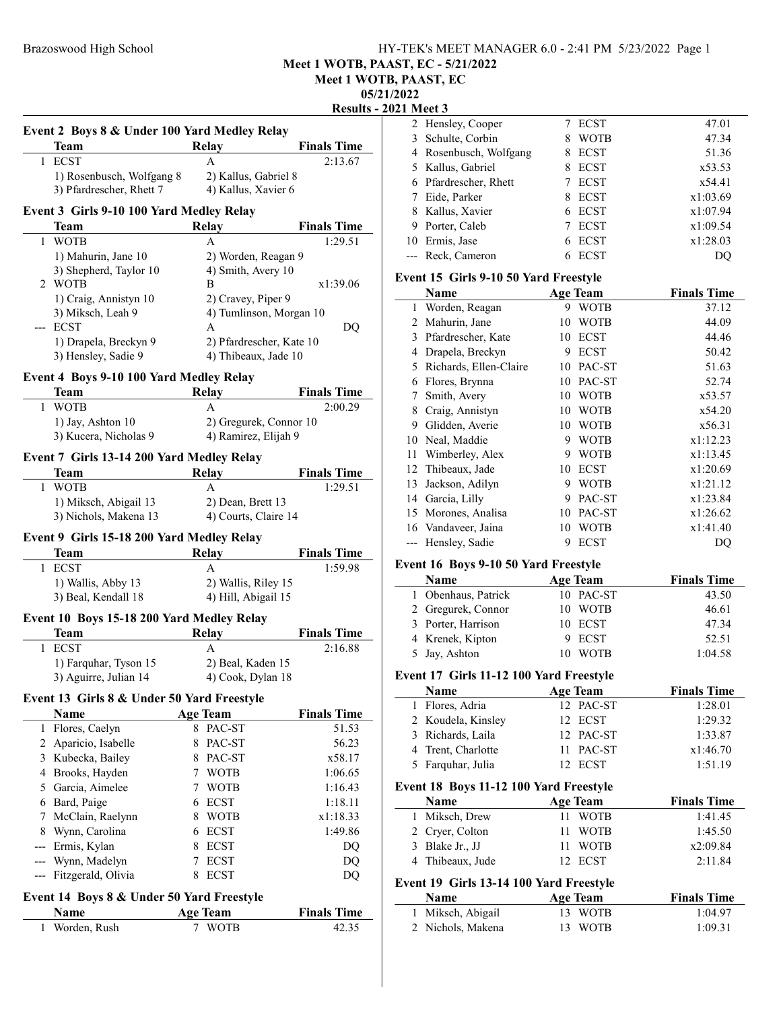Meet 1 WOTB, PAAST, EC - 5/21/2022

Meet 1 WOTB, PAAST, EC

#### 05/21/2022

21 Meet 3

|                | Event 2 Boys 8 & Under 100 Yard Medley Relay      |                                        |                          |
|----------------|---------------------------------------------------|----------------------------------------|--------------------------|
|                | <b>Team</b>                                       | Relay                                  | <b>Finals Time</b>       |
| 1              | <b>ECST</b>                                       | A                                      | 2:13.67                  |
|                | 1) Rosenbusch, Wolfgang 8                         | 2) Kallus, Gabriel 8                   |                          |
|                | 3) Pfardrescher, Rhett 7                          | 4) Kallus, Xavier 6                    |                          |
|                | Event 3 Girls 9-10 100 Yard Medley Relay          |                                        |                          |
|                | Team                                              | <b>Relay</b>                           | <b>Finals Time</b>       |
| 1              | <b>WOTB</b>                                       | А                                      | 1:29.51                  |
|                | 1) Mahurin, Jane 10                               | 2) Worden, Reagan 9                    |                          |
|                | 3) Shepherd, Taylor 10                            | 4) Smith, Avery 10                     |                          |
|                | 2 WOTB                                            | B                                      | x1:39.06                 |
|                | 1) Craig, Annistyn 10                             | 2) Cravey, Piper 9                     |                          |
|                | 3) Miksch, Leah 9                                 |                                        | 4) Tumlinson, Morgan 10  |
| $---$          | <b>ECST</b>                                       | А                                      | DQ                       |
|                | 1) Drapela, Breckyn 9                             |                                        | 2) Pfardrescher, Kate 10 |
|                | 3) Hensley, Sadie 9                               | 4) Thibeaux, Jade 10                   |                          |
|                | Event 4 Boys 9-10 100 Yard Medley Relay<br>Team   | <b>Relay</b>                           | <b>Finals Time</b>       |
| 1              | <b>WOTB</b>                                       | A                                      | 2:00.29                  |
|                | 1) Jay, Ashton 10                                 |                                        | 2) Gregurek, Connor 10   |
|                | 3) Kucera, Nicholas 9                             | 4) Ramirez, Elijah 9                   |                          |
|                |                                                   |                                        |                          |
|                | Event 7 Girls 13-14 200 Yard Medley Relay<br>Team | Relay                                  | <b>Finals Time</b>       |
| 1              | WOTB                                              | А                                      | 1:29.51                  |
|                | 1) Miksch, Abigail 13                             | 2) Dean, Brett 13                      |                          |
|                | 3) Nichols, Makena 13                             | 4) Courts, Claire 14                   |                          |
|                |                                                   |                                        |                          |
|                | Event 9 Girls 15-18 200 Yard Medley Relay         |                                        |                          |
|                | Team                                              | <b>Relay</b>                           | <b>Finals Time</b>       |
| 1              | <b>ECST</b>                                       | А                                      | 1:59.98                  |
|                | 1) Wallis, Abby 13                                | 2) Wallis, Riley 15                    |                          |
|                | 3) Beal, Kendall 18                               | 4) Hill, Abigail 15                    |                          |
|                | Event 10 Boys 15-18 200 Yard Medley Relay         |                                        |                          |
|                | Team                                              | Relay                                  | <b>Finals Time</b>       |
| 1              | <b>ECST</b>                                       | A                                      | 2:16.88                  |
|                | 1) Farquhar, Tyson 15<br>3) Aguirre, Julian 14    | 2) Beal, Kaden 15<br>4) Cook, Dylan 18 |                          |
|                |                                                   |                                        |                          |
|                | Event 13 Girls 8 & Under 50 Yard Freestyle        |                                        |                          |
|                | Name                                              | <b>Age Team</b>                        | <b>Finals Time</b>       |
| $\mathbf{1}$   | Flores, Caelyn                                    | PAC-ST<br>8.                           | 51.53                    |
| $\overline{2}$ | Aparicio, Isabelle                                | 8<br>PAC-ST                            | 56.23                    |
| 3              | Kubecka, Bailey                                   | PAC-ST<br>8                            | x58.17                   |
| 4              | Brooks, Hayden                                    | <b>WOTB</b><br>7                       | 1:06.65                  |
| 5              | Garcia, Aimelee                                   | <b>WOTB</b><br>7                       | 1:16.43                  |
|                | 6 Bard, Paige                                     | <b>ECST</b><br>6                       | 1:18.11                  |
| 7              | McClain, Raelynn                                  | 8<br><b>WOTB</b>                       | x1:18.33                 |
| 8              | Wynn, Carolina                                    | <b>ECST</b><br>6                       | 1:49.86                  |
| ---            | Ermis, Kylan                                      | 8<br><b>ECST</b>                       | DQ                       |
|                | --- Wynn, Madelyn                                 | <b>ECST</b><br>7                       | DQ                       |
| ---            | Fitzgerald, Olivia                                | <b>ECST</b><br>8                       | DQ                       |
|                | Event 14 Boys 8 & Under 50 Yard Freestyle         |                                        |                          |
|                | Name                                              | <b>Age Team</b>                        | <b>Finals Time</b>       |
| 1              | Worden, Rush                                      | 7 WOTB                                 | 42.35                    |

|    | 2 Hensley, Cooper      |    | ECST        | 47.01    |
|----|------------------------|----|-------------|----------|
|    | 3 Schulte, Corbin      | 8  | <b>WOTB</b> | 47.34    |
|    | 4 Rosenbusch, Wolfgang | 8  | ECST        | 51.36    |
|    | 5 Kallus, Gabriel      | 8  | ECST        | x53.53   |
|    | 6 Pfardrescher, Rhett  |    | <b>ECST</b> | x54.41   |
|    | 7 Eide, Parker         |    | 8 ECST      | x1:03.69 |
|    | 8 Kallus, Xavier       |    | 6 ECST      | x1:07.94 |
|    | 9 Porter, Caleb        |    | <b>ECST</b> | x1:09.54 |
| 10 | Ermis, Jase            | 6. | ECST        | x1:28.03 |
|    | --- Reck. Cameron      | 6  | <b>ECST</b> |          |

#### Event 15 Girls 9-10 50 Yard Freestyle

|    | Name                   |    | <b>Age Team</b> | <b>Finals Time</b> |
|----|------------------------|----|-----------------|--------------------|
| 1  | Worden, Reagan         | 9  | WOTB            | 37.12              |
| 2  | Mahurin, Jane          | 10 | WOTB            | 44.09              |
| 3  | Pfardrescher, Kate     | 10 | <b>ECST</b>     | 44.46              |
| 4  | Drapela, Breckyn       | 9  | <b>ECST</b>     | 50.42              |
| 5  | Richards, Ellen-Claire | 10 | PAC-ST          | 51.63              |
| 6  | Flores, Brynna         | 10 | PAC-ST          | 52.74              |
| 7  | Smith, Avery           | 10 | <b>WOTB</b>     | x53.57             |
| 8  | Craig, Annistyn        | 10 | <b>WOTB</b>     | x54.20             |
| 9  | Glidden, Averie        | 10 | WOTB            | x56.31             |
| 10 | Neal, Maddie           | 9  | <b>WOTB</b>     | x1:12.23           |
| 11 | Wimberley, Alex        | 9  | <b>WOTB</b>     | x1:13.45           |
|    | 12 Thibeaux, Jade      | 10 | <b>ECST</b>     | x1:20.69           |
| 13 | Jackson, Adilyn        | 9  | WOTB            | x1:21.12           |
| 14 | Garcia, Lilly          | 9  | PAC-ST          | x1:23.84           |
| 15 | Morones, Analisa       | 10 | PAC-ST          | x1:26.62           |
| 16 | Vandaveer, Jaina       | 10 | WOTB            | x1:41.40           |
|    | Hensley, Sadie         | 9  | <b>ECST</b>     | DO                 |

### Event 16 Boys 9-10 50 Yard Freestyle

| <b>Name</b>         | <b>Age Team</b> | <b>Finals Time</b> |
|---------------------|-----------------|--------------------|
| 1 Obenhaus, Patrick | 10 PAC-ST       | 43.50              |
| 2 Gregurek, Connor  | 10 WOTB         | 46.61              |
| 3 Porter, Harrison  | 10 ECST         | 47.34              |
| 4 Krenek, Kipton    | 9 ECST          | 52.51              |
| 5 Jay, Ashton       | 10 WOTB         | 1:04.58            |

#### Event 17 Girls 11-12 100 Yard Freestyle

| <b>Name</b>        | <b>Age Team</b> | <b>Finals Time</b> |
|--------------------|-----------------|--------------------|
| 1 Flores, Adria    | 12 PAC-ST       | 1:28.01            |
| 2 Koudela, Kinsley | 12 ECST         | 1:29.32            |
| 3 Richards, Laila  | 12 PAC-ST       | 1:33.87            |
| 4 Trent, Charlotte | 11 PAC-ST       | x1:46.70           |
| 5 Farquhar, Julia  | 12 ECST         | 1:51.19            |

### Event 18 Boys 11-12 100 Yard Freestyle

| Age Team | <b>Finals Time</b> |
|----------|--------------------|
| 11 WOTB  | 1:41.45            |
| 11 WOTB  | 1:45.50            |
| 11 WOTB  | x2:09.84           |
| 12 ECST  | 2:11.84            |
|          |                    |

## Event 19 Girls 13-14 100 Yard Freestyle

| <b>Name</b>       | Age Team | <b>Finals Time</b> |
|-------------------|----------|--------------------|
| 1 Miksch, Abigail | 13 WOTB  | 1:04.97            |
| 2 Nichols, Makena | 13 WOTB  | 1:09.31            |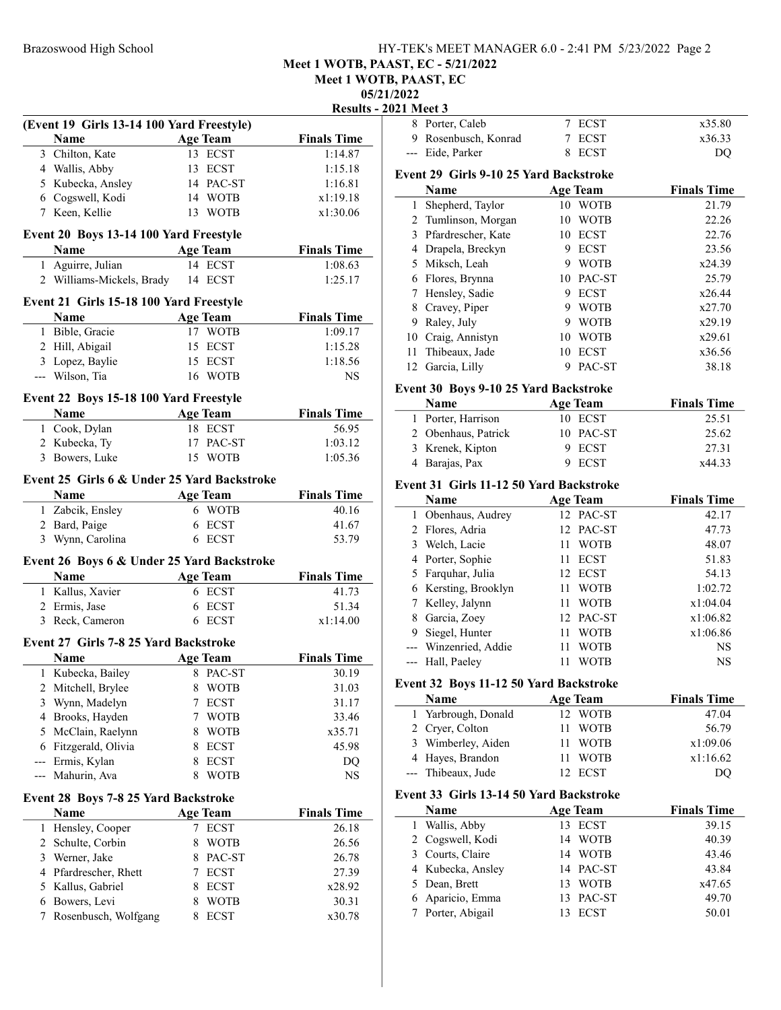#### Brazoswood High School High School HY-TEK's MEET MANAGER 6.0 - 2:41 PM 5/23/2022 Page 2

Meet 1 WOTB, PAAST, EC - 5/21/2022

Meet 1 WOTB, PAAST, EC

05/21/2022

Results - 2021 Meet 3

| .                    |        |        |
|----------------------|--------|--------|
| 8 Porter, Caleb      | 7 ECST | x35.80 |
| 9 Rosenbusch, Konrad | 7 ECST | x36.33 |
| --- Eide, Parker     | 8 ECST | DO     |

## Event 29 Girls 9-10 25 Yard Backstroke

|    | <b>Name</b>          |    | Age Team    | <b>Finals Time</b> |
|----|----------------------|----|-------------|--------------------|
|    | Shepherd, Taylor     | 10 | <b>WOTB</b> | 21.79              |
|    | 2 Tumlinson, Morgan  | 10 | <b>WOTB</b> | 22.26              |
|    | 3 Pfardrescher, Kate | 10 | <b>ECST</b> | 22.76              |
| 4  | Drapela, Breckyn     | 9  | <b>ECST</b> | 23.56              |
|    | 5 Miksch, Leah       | 9  | <b>WOTB</b> | x24.39             |
| 6  | Flores, Brynna       | 10 | PAC-ST      | 25.79              |
|    | Hensley, Sadie       | 9  | <b>ECST</b> | x26.44             |
| 8  | Cravey, Piper        | 9  | <b>WOTB</b> | x27.70             |
| 9  | Raley, July          | 9  | <b>WOTB</b> | x29.19             |
|    | 10 Craig, Annistyn   | 10 | <b>WOTB</b> | x29.61             |
| 11 | Thibeaux, Jade       | 10 | <b>ECST</b> | x36.56             |
|    | 12 Garcia, Lilly     |    | PAC-ST      | 38.18              |

## Event 30 Boys 9-10 25 Yard Backstroke

| <b>Name</b>         | <b>Age Team</b> | <b>Finals Time</b> |
|---------------------|-----------------|--------------------|
| 1 Porter, Harrison  | 10 ECST         | 25.51              |
| 2 Obenhaus, Patrick | 10 PAC-ST       | 25.62              |
| 3 Krenek, Kipton    | 9 ECST          | 27.31              |
| 4 Barajas, Pax      | 9 ECST          | x44.33             |

## Event 31 Girls 11-12 50 Yard Backstroke

|   | Name                  |    | Age Team    | <b>Finals Time</b> |
|---|-----------------------|----|-------------|--------------------|
|   | 1 Obenhaus, Audrey    |    | 12 PAC-ST   | 42.17              |
|   | 2 Flores, Adria       |    | 12 PAC-ST   | 47.73              |
|   | 3 Welch, Lacie        | 11 | <b>WOTB</b> | 48.07              |
|   | 4 Porter, Sophie      |    | <b>ECST</b> | 51.83              |
|   | 5 Farquhar, Julia     |    | 12 ECST     | 54.13              |
|   | 6 Kersting, Brooklyn  | 11 | <b>WOTB</b> | 1:02.72            |
|   | 7 Kelley, Jalynn      | 11 | <b>WOTB</b> | x1:04.04           |
| 8 | Garcia, Zoey          |    | 12 PAC-ST   | x1:06.82           |
| 9 | Siegel, Hunter        | 11 | <b>WOTB</b> | x1:06.86           |
|   | --- Winzenried, Addie | 11 | <b>WOTB</b> | <b>NS</b>          |
|   | Hall, Paeley          |    | WOTB        | <b>NS</b>          |

#### Event 32 Boys 11-12 50 Yard Backstroke

| <b>Name</b>         | Age Team | <b>Finals Time</b> |
|---------------------|----------|--------------------|
| 1 Yarbrough, Donald | 12 WOTB  | 47.04              |
| 2 Cryer, Colton     | 11 WOTB  | 56.79              |
| 3 Wimberley, Aiden  | 11 WOTB  | x1:09.06           |
| 4 Hayes, Brandon    | 11 WOTB  | x1:16.62           |
| --- Thibeaux, Jude  | 12 ECST  |                    |

#### Event 33 Girls 13-14 50 Yard Backstroke

| <b>Name</b>       | <b>Age Team</b> | <b>Finals Time</b> |
|-------------------|-----------------|--------------------|
| 1 Wallis, Abby    | 13 ECST         | 39.15              |
| 2 Cogswell, Kodi  | 14 WOTB         | 40.39              |
| 3 Courts, Claire  | 14 WOTB         | 43.46              |
| 4 Kubecka, Ansley | 14 PAC-ST       | 43.84              |
| 5 Dean, Brett     | 13 WOTB         | x47.65             |
| 6 Aparicio, Emma  | 13 PAC-ST       | 49.70              |
| 7 Porter, Abigail | <b>ECST</b>     | 50.01              |

| (Event 19 Girls 13-14 100 Yard Freestyle) |                                             |                  |                    |  |  |
|-------------------------------------------|---------------------------------------------|------------------|--------------------|--|--|
|                                           | Name                                        | <b>Age Team</b>  | <b>Finals Time</b> |  |  |
|                                           | 3 Chilton, Kate                             | 13 ECST          | 1:14.87            |  |  |
|                                           | 4 Wallis, Abby                              | 13 ECST          | 1:15.18            |  |  |
|                                           | 5 Kubecka, Ansley                           | 14 PAC-ST        | 1:16.81            |  |  |
|                                           | 6 Cogswell, Kodi                            | 14 WOTB          | x1:19.18           |  |  |
|                                           | 7 Keen, Kellie                              | 13 WOTB          | x1:30.06           |  |  |
|                                           |                                             |                  |                    |  |  |
|                                           | Event 20 Boys 13-14 100 Yard Freestyle      |                  |                    |  |  |
|                                           | <b>Name</b>                                 | <b>Age Team</b>  | <b>Finals Time</b> |  |  |
| $\mathbf{1}$                              | Aguirre, Julian                             | 14 ECST          | 1:08.63            |  |  |
|                                           | 2 Williams-Mickels, Brady                   | 14 ECST          | 1:25.17            |  |  |
|                                           | Event 21 Girls 15-18 100 Yard Freestyle     |                  |                    |  |  |
|                                           | Name                                        | <b>Age Team</b>  | <b>Finals Time</b> |  |  |
|                                           | 1 Bible, Gracie                             | 17 WOTB          | 1:09.17            |  |  |
|                                           | 2 Hill, Abigail                             | 15 ECST          | 1:15.28            |  |  |
|                                           | 3 Lopez, Baylie                             | 15 ECST          | 1:18.56            |  |  |
|                                           | --- Wilson, Tia                             | 16 WOTB          | <b>NS</b>          |  |  |
|                                           |                                             |                  |                    |  |  |
|                                           | Event 22 Boys 15-18 100 Yard Freestyle      |                  |                    |  |  |
|                                           | <b>Name</b>                                 | <b>Age Team</b>  | <b>Finals Time</b> |  |  |
|                                           | 1 Cook, Dylan                               | 18 ECST          | 56.95              |  |  |
|                                           | 2 Kubecka, Ty                               | PAC-ST<br>17     | 1:03.12            |  |  |
|                                           | 3 Bowers, Luke                              | 15 WOTB          | 1:05.36            |  |  |
|                                           | Event 25 Girls 6 & Under 25 Yard Backstroke |                  |                    |  |  |
|                                           | Name                                        | <b>Age Team</b>  | <b>Finals Time</b> |  |  |
|                                           |                                             | 6 WOTB           | 40.16              |  |  |
|                                           | 1 Zabcik, Ensley                            |                  |                    |  |  |
|                                           | 2 Bard, Paige                               | <b>ECST</b><br>6 | 41.67              |  |  |
| 3                                         | Wynn, Carolina                              | 6 ECST           | 53.79              |  |  |
|                                           | Event 26 Boys 6 & Under 25 Yard Backstroke  |                  |                    |  |  |
|                                           | <b>Name</b>                                 | <b>Age Team</b>  | <b>Finals Time</b> |  |  |
|                                           | 1 Kallus, Xavier                            | 6 ECST           | 41.73              |  |  |
|                                           | 2 Ermis, Jase                               | 6 ECST           | 51.34              |  |  |
|                                           | 3 Reck, Cameron                             | 6 ECST           | x1:14.00           |  |  |
|                                           | Event 27 Girls 7-8 25 Yard Backstroke       |                  |                    |  |  |
|                                           | <b>Name</b>                                 | <b>Age Team</b>  | <b>Finals Time</b> |  |  |
|                                           | 1 Kubecka, Bailey                           | 8 PAC-ST         | 30.19              |  |  |
|                                           | 2 Mitchell, Brylee                          | 8 WOTB           | 31.03              |  |  |
|                                           |                                             |                  |                    |  |  |
| 3                                         | Wynn, Madelyn                               | <b>ECST</b><br>7 | 31.17              |  |  |
|                                           | 4 Brooks, Hayden                            | <b>WOTB</b><br>7 | 33.46              |  |  |
|                                           | 5 McClain, Raelynn                          | 8<br><b>WOTB</b> | x35.71             |  |  |
|                                           | 6 Fitzgerald, Olivia                        | 8<br><b>ECST</b> | 45.98              |  |  |
| ---                                       | Ermis, Kylan                                | 8<br><b>ECST</b> | DQ                 |  |  |
| ---                                       | Mahurin, Ava                                | 8<br><b>WOTB</b> | NS                 |  |  |
|                                           | Event 28 Boys 7-8 25 Yard Backstroke        |                  |                    |  |  |
|                                           | Name                                        | <b>Age Team</b>  | <b>Finals Time</b> |  |  |
| 1                                         | Hensley, Cooper                             | <b>ECST</b><br>7 | 26.18              |  |  |
| 2                                         | Schulte, Corbin                             | <b>WOTB</b><br>8 | 26.56              |  |  |
|                                           | 3 Werner, Jake                              | 8 PAC-ST         | 26.78              |  |  |
|                                           | 4 Pfardrescher, Rhett                       | 7 ECST           | 27.39              |  |  |
|                                           | 5 Kallus, Gabriel                           | 8 ECST           | x28.92             |  |  |
|                                           | 6 Bowers, Levi                              | 8<br><b>WOTB</b> | 30.31              |  |  |
| 7                                         | Rosenbusch, Wolfgang                        | <b>ECST</b><br>8 | x30.78             |  |  |
|                                           |                                             |                  |                    |  |  |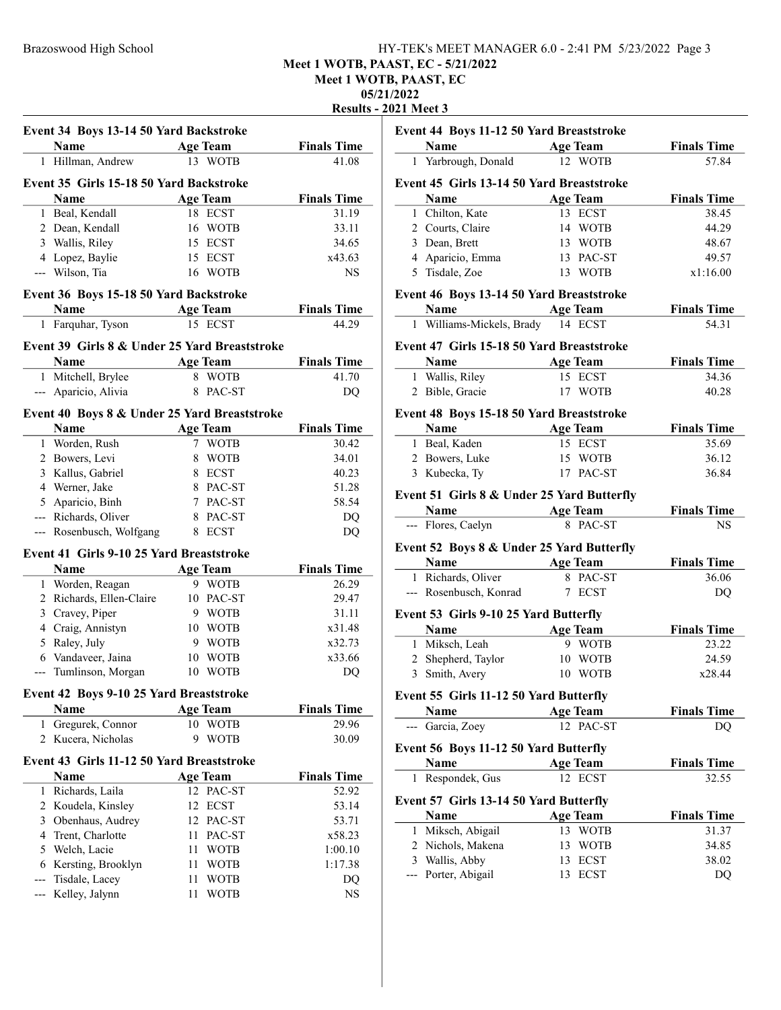## Brazoswood High School HY-TEK's MEET MANAGER 6.0 - 2:41 PM 5/23/2022 Page 3

Meet 1 WOTB, PAAST, EC - 5/21/2022

Meet 1 WOTB, PAAST, EC

05/21/2022

Results - 2021 Meet 3

|                | Event 34 Boys 13-14 50 Yard Backstroke         |          |                            |                    |
|----------------|------------------------------------------------|----------|----------------------------|--------------------|
|                | <b>Age Team</b><br><b>Name</b>                 |          |                            | <b>Finals Time</b> |
|                | 1 Hillman, Andrew                              |          | 13 WOTB                    | 41.08              |
|                |                                                |          |                            |                    |
|                | Event 35 Girls 15-18 50 Yard Backstroke        |          |                            |                    |
|                | <b>Name</b>                                    |          | <b>Age Team</b>            | <b>Finals Time</b> |
|                | 1 Beal, Kendall                                |          | 18 ECST                    | 31.19              |
|                | 2 Dean, Kendall                                |          | 16 WOTB                    | 33.11              |
|                | 3 Wallis, Riley                                |          | 15 ECST                    | 34.65              |
|                | 4 Lopez, Baylie                                |          | 15 ECST                    | x43.63             |
|                | --- Wilson, Tia                                |          | 16 WOTB                    | NS                 |
|                | Event 36 Boys 15-18 50 Yard Backstroke         |          |                            |                    |
|                | Age Team<br><b>Name</b>                        |          |                            | <b>Finals Time</b> |
|                | 1 Farquhar, Tyson                              |          | 15 ECST                    | 44.29              |
|                | Event 39 Girls 8 & Under 25 Yard Breaststroke  |          |                            |                    |
|                | <b>Example 3 Age Team</b><br>Name              |          |                            | <b>Finals Time</b> |
|                | 1 Mitchell, Brylee                             |          | 8 WOTB                     | 41.70              |
|                | --- Aparicio, Alivia                           |          | 8 PAC-ST                   | DQ                 |
|                | Event 40 Boys 8 & Under 25 Yard Breaststroke   |          |                            |                    |
|                | Name                                           |          | <b>Age Team</b>            | <b>Finals Time</b> |
|                | 1 Worden, Rush                                 |          | 7 WOTB                     | 30.42              |
|                | 2 Bowers, Levi                                 |          | 8 WOTB                     | 34.01              |
|                | 3 Kallus, Gabriel                              |          | 8 ECST                     | 40.23              |
|                | 4 Werner, Jake                                 |          | 8 PAC-ST                   | 51.28              |
|                | 5 Aparicio, Binh                               |          | 7 PAC-ST                   | 58.54              |
|                | --- Richards, Oliver                           |          | 8 PAC-ST                   | DQ                 |
|                | --- Rosenbusch, Wolfgang                       |          | 8 ECST                     | DQ                 |
|                | Event 41 Girls 9-10 25 Yard Breaststroke       |          |                            |                    |
|                | Name                                           |          | <b>Age Team</b>            | <b>Finals Time</b> |
|                | 1 Worden, Reagan                               |          | 9 WOTB                     | 26.29              |
|                | 2 Richards, Ellen-Claire                       |          | 10 PAC-ST                  | 29.47              |
|                | 3 Cravey, Piper                                |          | 9 WOTB                     | 31.11              |
|                | 4 Craig, Annistyn                              |          | 10 WOTB                    | x31.48             |
|                | 5 Raley, July                                  |          | 9 WOTB                     | x32.73             |
|                | 6 Vandaveer, Jaina                             |          | 10 WOTB                    | x33.66             |
|                | --- Tumlinson, Morgan                          |          | 10 WOTB                    | DQ                 |
|                | <b>Event 42 Boys 9-10 25 Yard Breaststroke</b> |          |                            |                    |
|                | <b>Name</b>                                    |          | <b>Age Team</b>            | <b>Finals Time</b> |
| 1              | Gregurek, Connor                               |          | 10 WOTB                    | 29.96              |
|                | 2 Kucera, Nicholas                             | 9        | <b>WOTB</b>                | 30.09              |
|                | Event 43 Girls 11-12 50 Yard Breaststroke      |          |                            |                    |
|                | Name                                           |          | <b>Age Team</b>            | <b>Finals Time</b> |
|                |                                                |          |                            |                    |
|                | Richards, Laila                                |          | 12 PAC-ST<br>12 ECST       | 52.92              |
| $\mathbf{1}$   | 2 Koudela, Kinsley                             |          |                            | 53.14              |
|                |                                                |          | PAC-ST                     | 53.71              |
| 3              | Obenhaus, Audrey                               | 12       |                            |                    |
| $\overline{4}$ | Trent, Charlotte                               | 11       | PAC-ST                     | x58.23             |
| 5              | Welch, Lacie                                   | 11       | <b>WOTB</b>                | 1:00.10            |
|                | 6 Kersting, Brooklyn                           | 11       | <b>WOTB</b>                | 1:17.38            |
| $---$          | Tisdale, Lacey<br>Kelley, Jalynn               | 11<br>11 | <b>WOTB</b><br><b>WOTB</b> | DQ<br><b>NS</b>    |

|                                           | Event 44 Boys 11-12 50 Yard Breaststroke        |                             |                    |  |  |  |
|-------------------------------------------|-------------------------------------------------|-----------------------------|--------------------|--|--|--|
|                                           | <b>Name</b>                                     | <b>Age Team</b>             | <b>Finals Time</b> |  |  |  |
|                                           | 1 Yarbrough, Donald                             | 12 WOTB                     | 57.84              |  |  |  |
|                                           | Event 45 Girls 13-14 50 Yard Breaststroke       |                             |                    |  |  |  |
|                                           | Name                                            | <b>Age Team</b>             | <b>Finals Time</b> |  |  |  |
|                                           | 1 Chilton, Kate                                 | 13 ECST                     | 38.45              |  |  |  |
|                                           | 2 Courts, Claire                                | 14 WOTB                     | 44.29              |  |  |  |
|                                           | 3 Dean, Brett                                   | 13 WOTB                     | 48.67              |  |  |  |
|                                           | 4 Aparicio, Emma                                | 13 PAC-ST                   | 49.57              |  |  |  |
|                                           | 5 Tisdale, Zoe                                  | 13 WOTB                     | x1:16.00           |  |  |  |
|                                           | Event 46 Boys 13-14 50 Yard Breaststroke        |                             |                    |  |  |  |
|                                           | Name                                            | <b>Age Team</b>             | <b>Finals Time</b> |  |  |  |
|                                           | 1 Williams-Mickels, Brady                       | 14 ECST                     | 54.31              |  |  |  |
|                                           | Event 47 Girls 15-18 50 Yard Breaststroke       |                             |                    |  |  |  |
|                                           | Name                                            | <b>Age Team</b>             | <b>Finals Time</b> |  |  |  |
|                                           | 1 Wallis, Riley                                 | 15 ECST                     | 34.36              |  |  |  |
|                                           | 2 Bible, Gracie                                 | 17 WOTB                     | 40.28              |  |  |  |
|                                           | <b>Event 48 Boys 15-18 50 Yard Breaststroke</b> |                             |                    |  |  |  |
|                                           | Name                                            | <b>Age Team</b>             | <b>Finals Time</b> |  |  |  |
|                                           | 1 Beal, Kaden                                   | 15 ECST                     | 35.69              |  |  |  |
|                                           |                                                 | 15 WOTB                     |                    |  |  |  |
|                                           | 2 Bowers, Luke                                  |                             | 36.12              |  |  |  |
|                                           | 3 Kubecka, Ty                                   | 17 PAC-ST                   | 36.84              |  |  |  |
|                                           | Event 51 Girls 8 & Under 25 Yard Butterfly      |                             |                    |  |  |  |
|                                           | <b>Name</b>                                     | <b>Age Team</b>             | <b>Finals Time</b> |  |  |  |
|                                           | --- Flores, Caelyn                              | 8 PAC-ST                    | NS                 |  |  |  |
| Event 52 Boys 8 & Under 25 Yard Butterfly |                                                 |                             |                    |  |  |  |
|                                           |                                                 |                             |                    |  |  |  |
|                                           | Name                                            |                             |                    |  |  |  |
|                                           |                                                 | <b>Age Team</b><br>8 PAC-ST | <b>Finals Time</b> |  |  |  |
|                                           | 1 Richards, Oliver                              | 7 ECST                      | 36.06<br>DQ        |  |  |  |
|                                           | --- Rosenbusch, Konrad                          |                             |                    |  |  |  |
|                                           | <b>Event 53 Girls 9-10 25 Yard Butterfly</b>    |                             |                    |  |  |  |
|                                           | Name                                            | <b>Age Team</b>             | <b>Finals Time</b> |  |  |  |
|                                           | 1 Miksch, Leah                                  | 9 WOTB                      | 23.22              |  |  |  |
|                                           | 2 Shepherd, Taylor                              | 10 WOTB                     | 24.59              |  |  |  |
|                                           | 3 Smith, Avery                                  | 10 WOTB                     | x28.44             |  |  |  |
|                                           | Event 55 Girls 11-12 50 Yard Butterfly          |                             |                    |  |  |  |
|                                           | Name                                            | <b>Age Team</b>             | <b>Finals Time</b> |  |  |  |
| ---                                       | Garcia, Zoey                                    | 12 PAC-ST                   | DQ                 |  |  |  |
|                                           | Event 56 Boys 11-12 50 Yard Butterfly           |                             |                    |  |  |  |
|                                           | Name                                            | <b>Age Team</b>             | <b>Finals Time</b> |  |  |  |
| 1                                         | Respondek, Gus                                  | 12 ECST                     | 32.55              |  |  |  |
|                                           | Event 57 Girls 13-14 50 Yard Butterfly          |                             |                    |  |  |  |
|                                           | Name                                            | <b>Age Team</b>             | <b>Finals Time</b> |  |  |  |
| 1                                         | Miksch, Abigail                                 | 13 WOTB                     | 31.37              |  |  |  |
| 2                                         | Nichols, Makena                                 | 13 WOTB                     | 34.85              |  |  |  |
| 3                                         | Wallis, Abby                                    | <b>ECST</b><br>13           | 38.02              |  |  |  |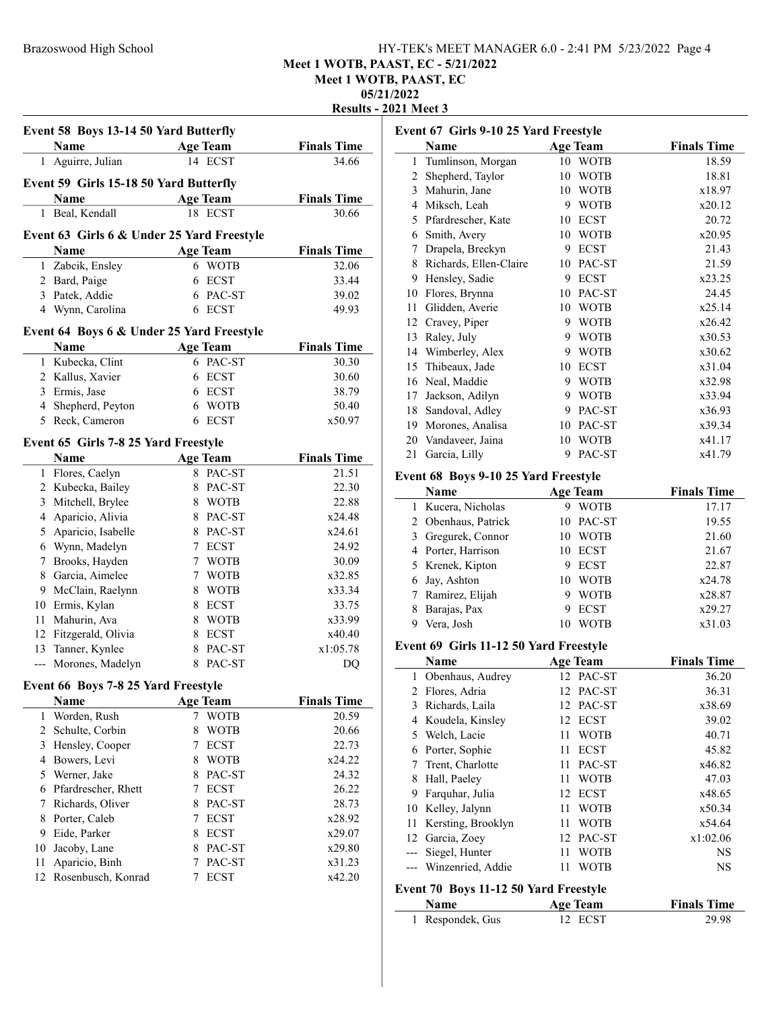### Brazoswood High School High School HY-TEK's MEET MANAGER 6.0 - 2:41 PM 5/23/2022 Page 4

Meet 1 WOTB, PAAST, EC - 5/21/2022

Meet 1 WOTB, PAAST, EC

05/21/2022

Results - 2021 Meet 3

| Event 58 Boys 13-14 50 Yard Butterfly |                                                    |   |                    |                    |  |
|---------------------------------------|----------------------------------------------------|---|--------------------|--------------------|--|
|                                       | Name                                               |   | <b>Age Team</b>    | <b>Finals Time</b> |  |
| 1                                     | Aguirre, Julian                                    |   | 14 ECST            | 34.66              |  |
|                                       | Event 59 Girls 15-18 50 Yard Butterfly             |   |                    |                    |  |
|                                       | <b>Name</b>                                        |   | <b>Age Team</b>    | <b>Finals Time</b> |  |
|                                       | 1 Beal, Kendall                                    |   | 18 ECST            | 30.66              |  |
|                                       |                                                    |   |                    |                    |  |
|                                       | Event 63 Girls 6 & Under 25 Yard Freestyle<br>Name |   | <b>Age Team</b>    | <b>Finals Time</b> |  |
|                                       | 1 Zabcik, Ensley                                   |   | 6 WOTB             | 32.06              |  |
|                                       | 2 Bard, Paige                                      |   | 6 ECST             | 33.44              |  |
|                                       | 3 Patek, Addie                                     |   | 6 PAC-ST           | 39.02              |  |
|                                       | 4 Wynn, Carolina                                   |   | 6 ECST             | 49.93              |  |
|                                       |                                                    |   |                    |                    |  |
|                                       | Event 64 Boys 6 & Under 25 Yard Freestyle          |   |                    |                    |  |
|                                       | <b>Name</b>                                        |   | <b>Age Team</b>    | <b>Finals Time</b> |  |
|                                       | 1 Kubecka, Clint                                   |   | 6 PAC-ST           | 30.30              |  |
|                                       | 2 Kallus, Xavier                                   |   | 6 ECST             | 30.60              |  |
|                                       | 3 Ermis, Jase                                      |   | 6 ECST             | 38.79              |  |
|                                       | 4 Shepherd, Peyton                                 |   | 6 WOTB             | 50.40              |  |
|                                       | 5 Reck, Cameron                                    |   | 6 ECST             | x50.97             |  |
|                                       | Event 65 Girls 7-8 25 Yard Freestyle               |   |                    |                    |  |
|                                       | Name                                               |   | <b>Age Team</b>    | <b>Finals Time</b> |  |
|                                       | 1 Flores, Caelyn                                   |   | 8 PAC-ST           | 21.51              |  |
|                                       | 2 Kubecka, Bailey                                  |   | 8 PAC-ST           | 22.30              |  |
|                                       | 3 Mitchell, Brylee                                 |   | 8 WOTB             | 22.88              |  |
|                                       | 4 Aparicio, Alivia                                 |   | 8 PAC-ST           | x24.48             |  |
|                                       | 5 Aparicio, Isabelle                               |   | 8 PAC-ST           | x24.61             |  |
|                                       | 6 Wynn, Madelyn                                    |   | 7 ECST             | 24.92              |  |
|                                       | 7 Brooks, Hayden                                   |   | 7 WOTB             | 30.09              |  |
|                                       | 8 Garcia, Aimelee                                  |   | 7 WOTB             | x32.85             |  |
|                                       | 9 McClain, Raelynn                                 |   | 8 WOTB             | x33.34             |  |
|                                       | 10 Ermis, Kylan                                    |   | 8 ECST             | 33.75              |  |
|                                       | 11 Mahurin, Ava                                    |   | 8 WOTB             | x33.99             |  |
|                                       | 12 Fitzgerald, Olivia                              |   | 8 ECST             | x40.40             |  |
|                                       | 13 Tanner, Kynlee<br>--- Morones, Madelyn          |   | 8 PAC-ST           | x1:05.78           |  |
|                                       |                                                    |   | 8 PAC-ST           | DQ                 |  |
|                                       | Event 66 Boys 7-8 25 Yard Freestyle                |   |                    |                    |  |
|                                       | Name                                               |   | <b>Age Team</b>    | <b>Finals Time</b> |  |
| $\mathbf{1}$                          | Worden, Rush                                       | 7 | <b>WOTB</b>        | 20.59              |  |
| 2                                     | Schulte, Corbin                                    | 8 | <b>WOTB</b>        | 20.66              |  |
| 3                                     | Hensley, Cooper                                    | 7 | <b>ECST</b>        | 22.73              |  |
|                                       | 4 Bowers, Levi                                     |   | 8 WOTB             | x24.22             |  |
|                                       | 5 Werner, Jake                                     | 8 | PAC-ST             | 24.32              |  |
|                                       | 6 Pfardrescher, Rhett                              | 7 | <b>ECST</b>        | 26.22              |  |
| 7                                     | Richards, Oliver                                   | 8 | PAC-ST             | 28.73              |  |
| 8                                     | Porter, Caleb                                      | 7 | <b>ECST</b>        | x28.92             |  |
| 9                                     | Eide, Parker                                       | 8 | <b>ECST</b>        | x29.07             |  |
| 10                                    | Jacoby, Lane<br>Aparicio, Binh                     | 7 | 8 PAC-ST<br>PAC-ST | x29.80<br>x31.23   |  |
|                                       |                                                    |   |                    |                    |  |
| 11<br>12                              | Rosenbusch, Konrad                                 | 7 | <b>ECST</b>        | x42.20             |  |

| Event 67 Girls 9-10 25 Yard Freestyle |                        |    |                 |                    |  |
|---------------------------------------|------------------------|----|-----------------|--------------------|--|
|                                       | Name                   |    | <b>Age Team</b> | <b>Finals Time</b> |  |
| 1                                     | Tumlinson, Morgan      |    | 10 WOTB         | 18.59              |  |
| 2                                     | Shepherd, Taylor       | 10 | <b>WOTB</b>     | 18.81              |  |
| 3                                     | Mahurin, Jane          | 10 | <b>WOTB</b>     | x18.97             |  |
| 4                                     | Miksch, Leah           | 9  | <b>WOTB</b>     | x20.12             |  |
| 5                                     | Pfardrescher, Kate     | 10 | <b>ECST</b>     | 20.72              |  |
| 6                                     | Smith, Avery           | 10 | WOTB            | x20.95             |  |
| 7                                     | Drapela, Breckyn       | 9  | <b>ECST</b>     | 21.43              |  |
| 8                                     | Richards, Ellen-Claire | 10 | PAC-ST          | 21.59              |  |
| 9                                     | Hensley, Sadie         | 9  | <b>ECST</b>     | x23.25             |  |
| 10                                    | Flores, Brynna         | 10 | PAC-ST          | 24.45              |  |
| 11                                    | Glidden, Averie        | 10 | <b>WOTB</b>     | x25.14             |  |
| 12                                    | Cravey, Piper          | 9  | <b>WOTB</b>     | x26.42             |  |
| 13                                    | Raley, July            | 9  | <b>WOTB</b>     | x30.53             |  |
| 14                                    | Wimberley, Alex        | 9  | <b>WOTB</b>     | x30.62             |  |
| 15                                    | Thibeaux, Jade         | 10 | <b>ECST</b>     | x31.04             |  |
| 16                                    | Neal, Maddie           | 9  | <b>WOTB</b>     | x32.98             |  |
| 17                                    | Jackson, Adilyn        | 9  | <b>WOTB</b>     | x33.94             |  |
| 18                                    | Sandoval, Adley        | 9  | PAC-ST          | x36.93             |  |
| 19                                    | Morones, Analisa       | 10 | PAC-ST          | x39.34             |  |
| 20                                    | Vandaveer, Jaina       | 10 | WOTB            | x41.17             |  |
| 21                                    | Garcia, Lilly          | 9  | PAC-ST          | x41.79             |  |
|                                       |                        |    |                 |                    |  |

## Event 68 Boys 9-10 25 Yard Freestyle

| Name                | <b>Age Team</b> | <b>Finals Time</b> |
|---------------------|-----------------|--------------------|
| 1 Kucera, Nicholas  | <b>WOTB</b>     | 17.17              |
| 2 Obenhaus, Patrick | 10 PAC-ST       | 19.55              |
| 3 Gregurek, Connor  | WOTB<br>10      | 21.60              |
| 4 Porter, Harrison  | 10 ECST         | 21.67              |
| 5 Krenek, Kipton    | <b>ECST</b>     | 22.87              |
| 6 Jay, Ashton       | WOTB<br>10      | x24.78             |
| 7 Ramirez, Elijah   | <b>WOTB</b>     | x28.87             |
| Barajas, Pax<br>8   | <b>ECST</b>     | x29.27             |
| Vera, Josh          | WOTB            | x31.03             |

## Event 69 Girls 11-12 50 Yard Freestyle

|                               | Name                                  | <b>Age Team</b>   | <b>Finals Time</b> |  |  |  |  |
|-------------------------------|---------------------------------------|-------------------|--------------------|--|--|--|--|
| 1                             | Obenhaus, Audrey                      | PAC-ST<br>12.     | 36.20              |  |  |  |  |
| $\mathfrak{D}_{\mathfrak{p}}$ | Flores, Adria                         | PAC-ST<br>12      | 36.31              |  |  |  |  |
| 3                             | Richards, Laila                       | PAC-ST<br>12      | x38.69             |  |  |  |  |
| 4                             | Koudela, Kinsley                      | <b>ECST</b><br>12 | 39.02              |  |  |  |  |
| 5                             | Welch, Lacie                          | WOTB<br>11        | 40.71              |  |  |  |  |
| 6                             | Porter, Sophie                        | <b>ECST</b><br>11 | 45.82              |  |  |  |  |
| 7                             | Trent, Charlotte                      | PAC-ST<br>11      | x46.82             |  |  |  |  |
| 8                             | Hall, Paeley                          | <b>WOTB</b><br>11 | 47.03              |  |  |  |  |
| 9                             | Farquhar, Julia                       | <b>ECST</b><br>12 | x48.65             |  |  |  |  |
| 10                            | Kelley, Jalynn                        | WOTB<br>11        | x50.34             |  |  |  |  |
| 11                            | Kersting, Brooklyn                    | WOTB<br>11        | x54.64             |  |  |  |  |
| 12                            | Garcia, Zoey                          | PAC-ST<br>12      | x1:02.06           |  |  |  |  |
|                               | Siegel, Hunter                        | WOTB<br>11        | NS                 |  |  |  |  |
|                               | Winzenried, Addie                     | WOTB<br>11        | NS                 |  |  |  |  |
|                               | Event 70 Boys 11-12 50 Yard Freestyle |                   |                    |  |  |  |  |
|                               | Name                                  | <b>Age Team</b>   | <b>Finals Time</b> |  |  |  |  |
|                               | Respondek, Gus                        | ECST<br>12        | 29.98              |  |  |  |  |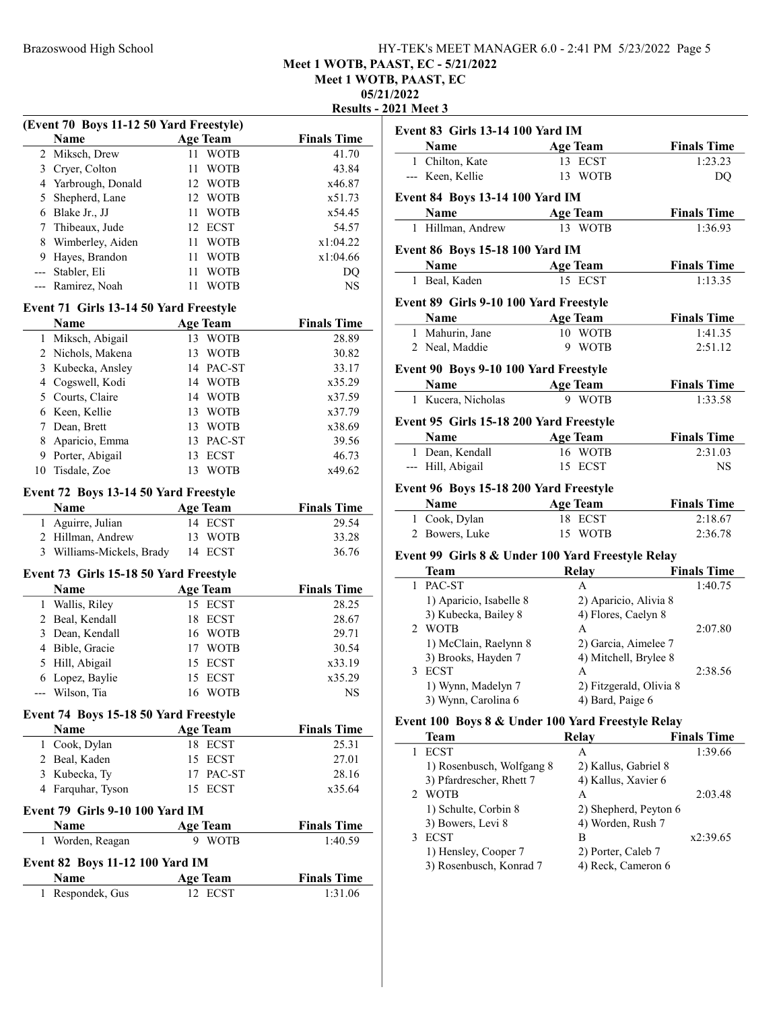#### Brazoswood High School High School HY-TEK's MEET MANAGER 6.0 - 2:41 PM 5/23/2022 Page 5

Meet 1 WOTB, PAAST, EC - 5/21/2022

Meet 1 WOTB, PAAST, EC

## 05/21/2022

Results - 2021 Meet 3

|                                         |                                        |    |                 | $Results - 2$      |  |  |
|-----------------------------------------|----------------------------------------|----|-----------------|--------------------|--|--|
| (Event 70 Boys 11-12 50 Yard Freestyle) |                                        |    |                 |                    |  |  |
|                                         | <b>Name</b>                            |    | <b>Age Team</b> | <b>Finals Time</b> |  |  |
| 2                                       | Miksch, Drew                           | 11 | <b>WOTB</b>     | 41.70              |  |  |
| 3                                       | Cryer, Colton                          | 11 | <b>WOTB</b>     | 43.84              |  |  |
| $\overline{4}$                          | Yarbrough, Donald                      | 12 | <b>WOTB</b>     | x46.87             |  |  |
| 5                                       | Shepherd, Lane                         | 12 | <b>WOTB</b>     | x51.73             |  |  |
| 6                                       | Blake Jr., JJ                          | 11 | <b>WOTB</b>     | x54.45             |  |  |
| 7                                       | Thibeaux, Jude                         | 12 | <b>ECST</b>     | 54.57              |  |  |
| 8                                       | Wimberley, Aiden                       | 11 | <b>WOTB</b>     | x1:04.22           |  |  |
| 9                                       | Hayes, Brandon                         | 11 | <b>WOTB</b>     | x1:04.66           |  |  |
| $---$                                   | Stabler, Eli                           | 11 | <b>WOTB</b>     | DQ                 |  |  |
| $---$                                   | Ramirez, Noah                          | 11 | <b>WOTB</b>     | <b>NS</b>          |  |  |
|                                         | Event 71 Girls 13-14 50 Yard Freestyle |    |                 |                    |  |  |
|                                         | <b>Name</b>                            |    | <b>Age Team</b> | <b>Finals Time</b> |  |  |
| $\mathbf{1}$                            | Miksch, Abigail                        |    | 13 WOTB         | 28.89              |  |  |
| $\overline{2}$                          | Nichols, Makena                        |    | 13 WOTB         | 30.82              |  |  |
| 3                                       | Kubecka, Ansley                        |    | 14 PAC-ST       | 33.17              |  |  |
| $\overline{4}$                          | Cogswell, Kodi                         |    | 14 WOTB         | x35.29             |  |  |
|                                         | 5 Courts, Claire                       | 14 | <b>WOTB</b>     | x37.59             |  |  |
|                                         | 6 Keen, Kellie                         | 13 | <b>WOTB</b>     | x37.79             |  |  |
| 7                                       | Dean, Brett                            | 13 | <b>WOTB</b>     | x38.69             |  |  |
| 8                                       | Aparicio, Emma                         |    | 13 PAC-ST       | 39.56              |  |  |
| 9                                       | Porter, Abigail                        | 13 | <b>ECST</b>     | 46.73              |  |  |
| 10                                      | Tisdale, Zoe                           | 13 | <b>WOTB</b>     | x49.62             |  |  |
|                                         | Event 72 Boys 13-14 50 Yard Freestyle  |    |                 |                    |  |  |
|                                         | <b>Name</b>                            |    | <b>Age Team</b> | <b>Finals Time</b> |  |  |
| 1                                       | Aguirre, Julian                        |    | 14 ECST         | 29.54              |  |  |
| 2                                       | Hillman, Andrew                        | 13 | <b>WOTB</b>     | 33.28              |  |  |
| 3                                       | Williams-Mickels, Brady                |    | 14 ECST         | 36.76              |  |  |
|                                         | Event 73 Girls 15-18 50 Yard Freestyle |    |                 |                    |  |  |
|                                         | Name                                   |    | <b>Age Team</b> | <b>Finals Time</b> |  |  |
| 1                                       | Wallis, Rilev                          |    | 15 ECST         | 28.25              |  |  |

|   | <b>Name</b>                           |    | Age Team        | <b>Finals Time</b> |  |  |  |
|---|---------------------------------------|----|-----------------|--------------------|--|--|--|
| 1 | Wallis, Riley                         |    | 15 ECST         | 28.25              |  |  |  |
| 2 | Beal, Kendall                         | 18 | <b>ECST</b>     | 28.67              |  |  |  |
| 3 | Dean, Kendall                         |    | 16 WOTB         | 29.71              |  |  |  |
| 4 | Bible, Gracie                         | 17 | <b>WOTB</b>     | 30.54              |  |  |  |
| 5 | Hill, Abigail                         |    | 15 ECST         | x33.19             |  |  |  |
| 6 | Lopez, Baylie                         |    | 15 ECST         | x35.29             |  |  |  |
|   | --- Wilson, Tia                       | 16 | WOTB            | NS                 |  |  |  |
|   | Event 74 Boys 15-18 50 Yard Freestyle |    |                 |                    |  |  |  |
|   | Name                                  |    | <b>Age Team</b> | <b>Finals Time</b> |  |  |  |
| 1 | Cook, Dylan                           | 18 | ECST            | 25.31              |  |  |  |
| 2 | Beal, Kaden                           |    | 15 ECST         | 27.01              |  |  |  |
| 3 | Kubecka, Ty                           | 17 | PAC-ST          | 28.16              |  |  |  |
| 4 | Farquhar, Tyson                       | 15 | <b>ECST</b>     | x35.64             |  |  |  |

## Event 79 Girls 9-10 100 Yard IM

| <b>Name</b>                            | Age Team | <b>Finals Time</b> |
|----------------------------------------|----------|--------------------|
| 1 Worden, Reagan                       | 9 WOTB   | 1:40.59            |
| <b>Event 82 Boys 11-12 100 Yard IM</b> |          |                    |

## Name Age Team Finals Time<br>Respondek, Gus 12 ECST 1:31.06 1 Respondek, Gus

|              | <b>Event 83 Girls 13-14 100 Yard IM</b>                          |  |                                             |                               |  |  |  |  |
|--------------|------------------------------------------------------------------|--|---------------------------------------------|-------------------------------|--|--|--|--|
|              | Name<br><b>Age Team</b>                                          |  |                                             | <b>Finals Time</b>            |  |  |  |  |
|              | 1 Chilton, Kate                                                  |  | 13 ECST                                     | 1:23.23                       |  |  |  |  |
|              | --- Keen, Kellie                                                 |  | 13 WOTB                                     | DQ                            |  |  |  |  |
|              |                                                                  |  |                                             |                               |  |  |  |  |
|              | <b>Event 84 Boys 13-14 100 Yard IM</b>                           |  |                                             |                               |  |  |  |  |
|              | Name                                                             |  | <b>Age Team</b>                             | <b>Finals Time</b>            |  |  |  |  |
|              | 1 Hillman, Andrew                                                |  | 13 WOTB                                     | 1:36.93                       |  |  |  |  |
|              | Event 86 Boys 15-18 100 Yard IM                                  |  |                                             |                               |  |  |  |  |
|              | Name                                                             |  | <b>Age Team</b>                             | <b>Finals Time</b>            |  |  |  |  |
|              | 1 Beal, Kaden                                                    |  | 15 ECST                                     | 1:13.35                       |  |  |  |  |
|              | Event 89 Girls 9-10 100 Yard Freestyle                           |  |                                             |                               |  |  |  |  |
|              | <b>Age Team</b><br>Name                                          |  |                                             | <b>Finals Time</b>            |  |  |  |  |
|              | 1 Mahurin, Jane                                                  |  | 10 WOTB                                     | 1:41.35                       |  |  |  |  |
|              | 2 Neal, Maddie                                                   |  | 9 WOTB                                      | 2:51.12                       |  |  |  |  |
|              |                                                                  |  |                                             |                               |  |  |  |  |
|              | Event 90 Boys 9-10 100 Yard Freestyle                            |  |                                             |                               |  |  |  |  |
|              | Name Age Team                                                    |  | 9 WOTB                                      | <b>Finals Time</b><br>1:33.58 |  |  |  |  |
|              | 1 Kucera, Nicholas                                               |  |                                             |                               |  |  |  |  |
|              | Event 95 Girls 15-18 200 Yard Freestyle                          |  |                                             |                               |  |  |  |  |
|              | <b>Name</b>                                                      |  | <b>Age Team</b>                             | <b>Finals Time</b>            |  |  |  |  |
|              | 1 Dean, Kendall                                                  |  | 16 WOTB                                     | 2:31.03                       |  |  |  |  |
|              | --- Hill, Abigail                                                |  | 15 ECST                                     | NS.                           |  |  |  |  |
|              | Event 96 Boys 15-18 200 Yard Freestyle                           |  |                                             |                               |  |  |  |  |
|              | <b>Name</b>                                                      |  | <b>Age Team</b>                             | <b>Finals Time</b>            |  |  |  |  |
|              | 1 Cook, Dylan                                                    |  | 18 ECST                                     | 2:18.67                       |  |  |  |  |
|              | 2 Bowers, Luke                                                   |  | 15 WOTB                                     | 2:36.78                       |  |  |  |  |
|              |                                                                  |  |                                             |                               |  |  |  |  |
|              | Event 99 Girls 8 & Under 100 Yard Freestyle Relay<br><b>Team</b> |  |                                             | <b>Finals Time</b>            |  |  |  |  |
| $\mathbf{1}$ | PAC-ST                                                           |  | A                                           | 1:40.75                       |  |  |  |  |
|              | 1) Aparicio, Isabelle 8                                          |  | 2) Aparicio, Alivia 8                       |                               |  |  |  |  |
|              | 3) Kubecka, Bailey 8                                             |  | 4) Flores, Caelyn 8                         |                               |  |  |  |  |
|              | 2 WOTB                                                           |  | A                                           | 2:07.80                       |  |  |  |  |
|              | 1) McClain, Raelynn 8                                            |  | 2) Garcia, Aimelee 7                        |                               |  |  |  |  |
|              | 3) Brooks, Hayden 7                                              |  | 4) Mitchell, Brylee 8                       |                               |  |  |  |  |
|              | 3 ECST                                                           |  | A                                           | 2:38.56                       |  |  |  |  |
|              | 1) Wynn, Madelyn 7                                               |  | 2) Fitzgerald, Olivia 8                     |                               |  |  |  |  |
|              | 3) Wynn, Carolina 6                                              |  | 4) Bard, Paige 6                            |                               |  |  |  |  |
|              |                                                                  |  |                                             |                               |  |  |  |  |
|              | Event 100 Boys 8 & Under 100 Yard Freestyle Relay<br>Team        |  | Relay                                       | <b>Finals Time</b>            |  |  |  |  |
| 1            | <b>ECST</b>                                                      |  | Α                                           | 1:39.66                       |  |  |  |  |
|              |                                                                  |  |                                             |                               |  |  |  |  |
|              | 1) Rosenbusch, Wolfgang 8<br>3) Pfardrescher, Rhett 7            |  | 2) Kallus, Gabriel 8<br>4) Kallus, Xavier 6 |                               |  |  |  |  |
|              | 2 WOTB                                                           |  | Α                                           | 2:03.48                       |  |  |  |  |
|              | 1) Schulte, Corbin 8                                             |  | 2) Shepherd, Peyton 6                       |                               |  |  |  |  |
|              | 3) Bowers, Levi 8                                                |  | 4) Worden, Rush 7                           |                               |  |  |  |  |
| 3            | <b>ECST</b>                                                      |  | В                                           | x2:39.65                      |  |  |  |  |
|              | 1) Hensley, Cooper 7                                             |  | 2) Porter, Caleb 7                          |                               |  |  |  |  |
|              | 3) Rosenbusch, Konrad 7                                          |  | 4) Reck, Cameron 6                          |                               |  |  |  |  |
|              |                                                                  |  |                                             |                               |  |  |  |  |